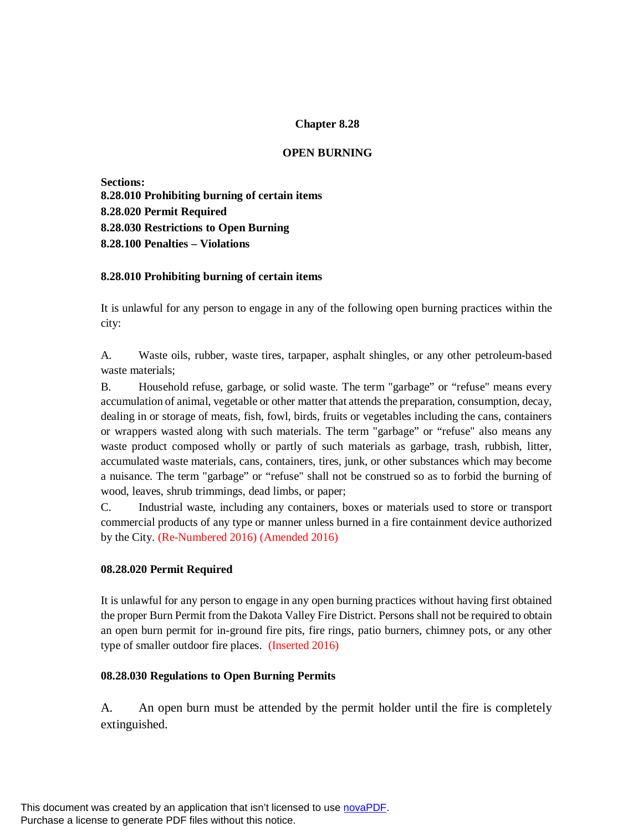### **Chapter 8.28**

#### **OPEN BURNING**

**Sections: 8.28.010 Prohibiting burning of certain items 8.28.020 Permit Required 8.28.030 Restrictions to Open Burning 8.28.100 Penalties – Violations**

### **8.28.010 Prohibiting burning of certain items**

It is unlawful for any person to engage in any of the following open burning practices within the city:

A. Waste oils, rubber, waste tires, tarpaper, asphalt shingles, or any other petroleum-based waste materials;

B. Household refuse, garbage, or solid waste. The term "garbage" or "refuse" means every accumulation of animal, vegetable or other matter that attends the preparation, consumption, decay, dealing in or storage of meats, fish, fowl, birds, fruits or vegetables including the cans, containers or wrappers wasted along with such materials. The term "garbage" or "refuse" also means any waste product composed wholly or partly of such materials as garbage, trash, rubbish, litter, accumulated waste materials, cans, containers, tires, junk, or other substances which may become a nuisance. The term "garbage" or "refuse" shall not be construed so as to forbid the burning of wood, leaves, shrub trimmings, dead limbs, or paper;

C. Industrial waste, including any containers, boxes or materials used to store or transport commercial products of any type or manner unless burned in a fire containment device authorized by the City. (Re-Numbered 2016) (Amended 2016)

## **08.28.020 Permit Required**

It is unlawful for any person to engage in any open burning practices without having first obtained the proper Burn Permit from the Dakota Valley Fire District. Persons shall not be required to obtain an open burn permit for in-ground fire pits, fire rings, patio burners, chimney pots, or any other type of smaller outdoor fire places. (Inserted 2016)

## **08.28.030 Regulations to Open Burning Permits**

A. An open burn must be attended by the permit holder until the fire is completely extinguished.